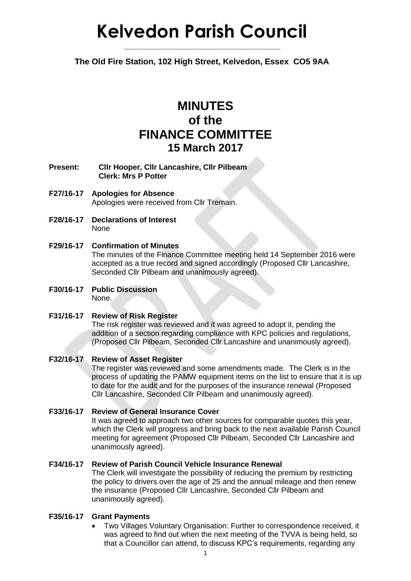# **Kelvedon Parish Council**

**The Old Fire Station, 102 High Street, Kelvedon, Essex CO5 9AA**

**\_\_\_\_\_\_\_\_\_\_\_\_\_\_\_\_\_\_\_\_\_\_\_\_\_\_\_\_\_\_\_\_\_\_\_\_\_**

# **MINUTES of the FINANCE COMMITTEE 15 March 2017**

- **Present: Cllr Hooper, Cllr Lancashire, Cllr Pilbeam Clerk: Mrs P Potter**
- **F27/16-17 Apologies for Absence** Apologies were received from Cllr Tremain.
- **F28/16-17 Declarations of Interest** None

# **F29/16-17 Confirmation of Minutes**

The minutes of the Finance Committee meeting held 14 September 2016 were accepted as a true record and signed accordingly (Proposed Cllr Lancashire, Seconded Cllr Pilbeam and unanimously agreed).

**F30/16-17 Public Discussion** None.

### **F31/16-17 Review of Risk Register**

The risk register was reviewed and it was agreed to adopt it, pending the addition of a section regarding compliance with KPC policies and regulations, (Proposed Cllr Pilbeam, Seconded Cllr Lancashire and unanimously agreed).

### **F32/16-17 Review of Asset Register**

The register was reviewed and some amendments made. The Clerk is in the process of updating the PAMW equipment items on the list to ensure that it is up to date for the audit and for the purposes of the insurance renewal (Proposed Cllr Lancashire, Seconded Cllr Pilbeam and unanimously agreed).

### **F33/16-17 Review of General Insurance Cover**

It was agreed to approach two other sources for comparable quotes this year, which the Clerk will progress and bring back to the next available Parish Council meeting for agreement (Proposed Cllr Pilbeam, Seconded Cllr Lancashire and unanimously agreed).

## **F34/16-17 Review of Parish Council Vehicle Insurance Renewal**

The Clerk will investigate the possibility of reducing the premium by restricting the policy to drivers over the age of 25 and the annual mileage and then renew the insurance (Proposed Cllr Lancashire, Seconded Cllr Pilbeam and unanimously agreed).

### **F35/16-17 Grant Payments**

• Two Villages Voluntary Organisation: Further to correspondence received, it was agreed to find out when the next meeting of the TVVA is being held, so that a Councillor can attend, to discuss KPC's requirements, regarding any